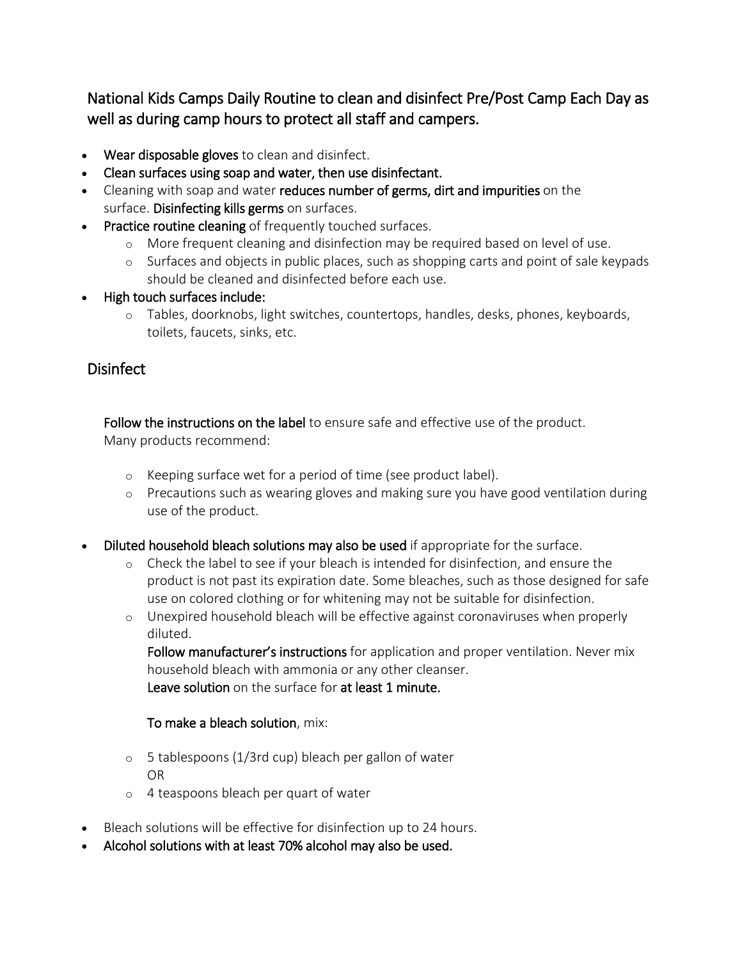National Kids Camps Daily Routine to clean and disinfect Pre/Post Camp Each Day as well as during camp hours to protect all staff and campers.

- Wear disposable gloves to clean and disinfect.
- Clean surfaces using soap and water, then use disinfectant.
- Cleaning with soap and water reduces number of germs, dirt and impurities on the surface. Disinfecting kills germs on surfaces.
- Practice routine cleaning of frequently touched surfaces.
	- o More frequent cleaning and disinfection may be required based on level of use.
	- o Surfaces and objects in public places, such as shopping carts and point of sale keypads should be cleaned and disinfected before each use.
- High touch surfaces include:
	- o Tables, doorknobs, light switches, countertops, handles, desks, phones, keyboards, toilets, faucets, sinks, etc.

# **Disinfect**

Follow the instructions on the label to ensure safe and effective use of the product. Many products recommend:

- o Keeping surface wet for a period of time (see product label).
- o Precautions such as wearing gloves and making sure you have good ventilation during use of the product.
- Diluted household bleach solutions may also be used if appropriate for the surface.
	- o Check the label to see if your bleach is intended for disinfection, and ensure the product is not past its expiration date. Some bleaches, such as those designed for safe use on colored clothing or for whitening may not be suitable for disinfection.
	- o Unexpired household bleach will be effective against coronaviruses when properly diluted.

Follow manufacturer's instructions for application and proper ventilation. Never mix household bleach with ammonia or any other cleanser. Leave solution on the surface for at least 1 minute.

### To make a bleach solution, mix:

- o 5 tablespoons (1/3rd cup) bleach per gallon of water OR
- o 4 teaspoons bleach per quart of water
- Bleach solutions will be effective for disinfection up to 24 hours.
- Alcohol solutions with at least 70% alcohol may also be used.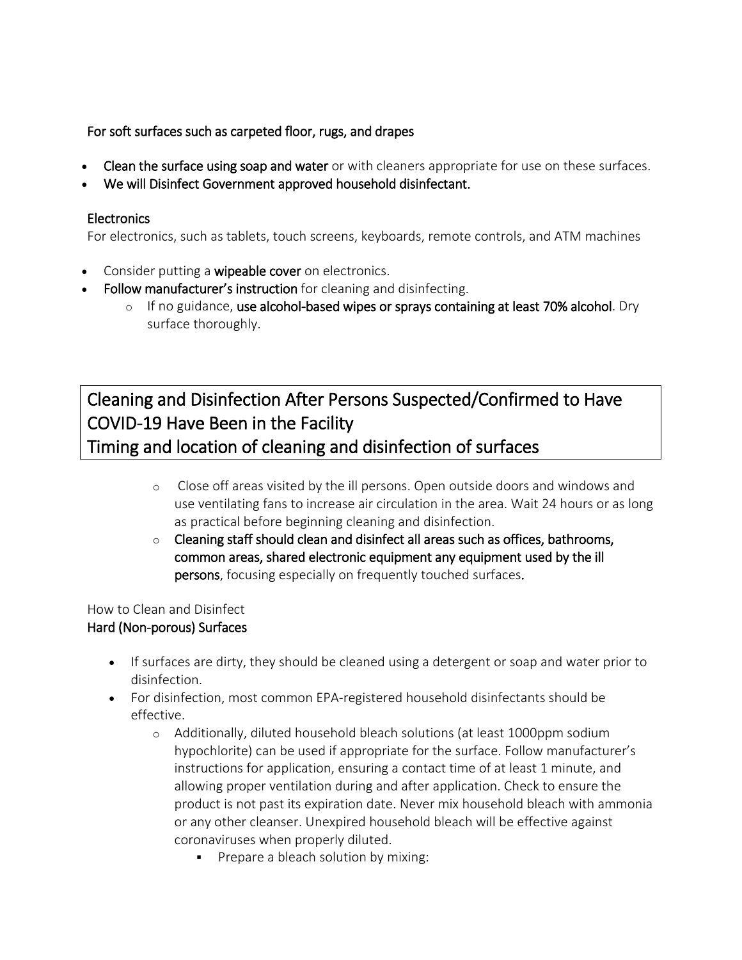For soft surfaces such as carpeted floor, rugs, and drapes

- Clean the surface using soap and water or with cleaners appropriate for use on these surfaces.
- We will Disinfect Government approved household disinfectant.

### **Electronics**

For electronics, such as tablets, touch screens, keyboards, remote controls, and ATM machines

- Consider putting a wipeable cover on electronics.
- Follow manufacturer's instruction for cleaning and disinfecting.
	- o If no guidance, use alcohol-based wipes or sprays containing at least 70% alcohol. Dry surface thoroughly.

Cleaning and Disinfection After Persons Suspected/Confirmed to Have COVID-19 Have Been in the Facility Timing and location of cleaning and disinfection of surfaces

- o Close off areas visited by the ill persons. Open outside doors and windows and use ventilating fans to increase air circulation in the area. Wait 24 hours or as long as practical before beginning cleaning and disinfection.
- $\circ$  Cleaning staff should clean and disinfect all areas such as offices, bathrooms, common areas, shared electronic equipment any equipment used by the ill persons, focusing especially on frequently touched surfaces.

#### How to Clean and Disinfect Hard (Non-porous) Surfaces

- If surfaces are dirty, they should be cleaned using a detergent or soap and water prior to disinfection.
- For disinfection, most common EPA-registered household disinfectants should be effective.
	- o Additionally, diluted household bleach solutions (at least 1000ppm sodium hypochlorite) can be used if appropriate for the surface. Follow manufacturer's instructions for application, ensuring a contact time of at least 1 minute, and allowing proper ventilation during and after application. Check to ensure the product is not past its expiration date. Never mix household bleach with ammonia or any other cleanser. Unexpired household bleach will be effective against coronaviruses when properly diluted.
		- **Prepare a bleach solution by mixing:**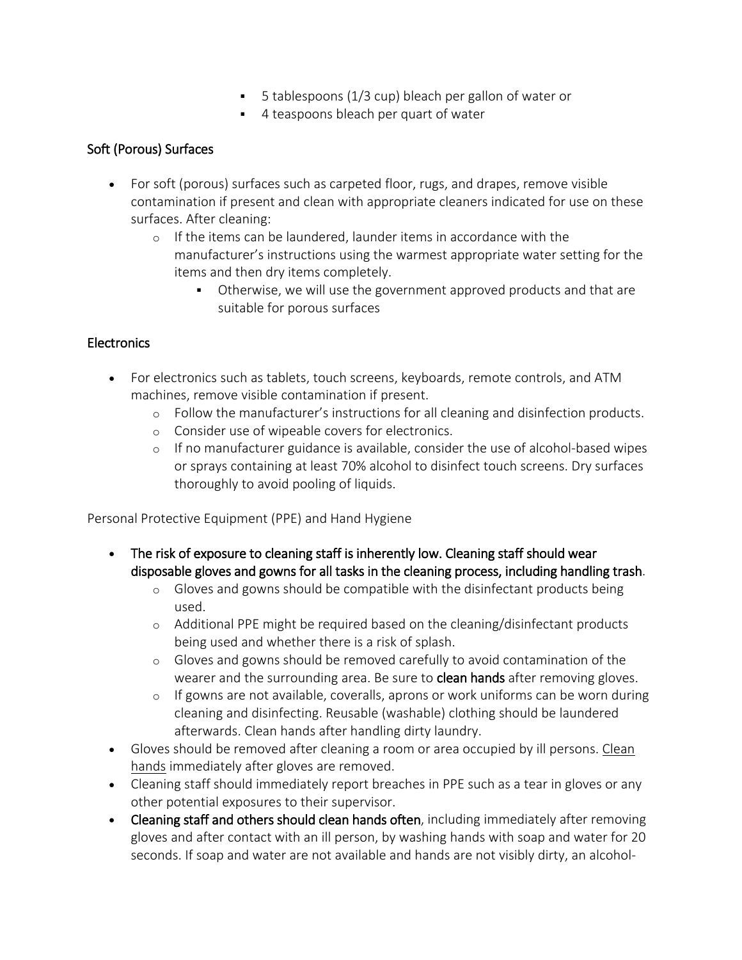- 5 tablespoons (1/3 cup) bleach per gallon of water or
- 4 teaspoons bleach per quart of water

## Soft (Porous) Surfaces

- For soft (porous) surfaces such as carpeted floor, rugs, and drapes, remove visible contamination if present and clean with appropriate cleaners indicated for use on these surfaces. After cleaning:
	- o If the items can be laundered, launder items in accordance with the manufacturer's instructions using the warmest appropriate water setting for the items and then dry items completely.
		- Otherwise, we will use the government approved products and that are suitable for porous surfaces

## Electronics

- For electronics such as tablets, touch screens, keyboards, remote controls, and ATM machines, remove visible contamination if present.
	- o Follow the manufacturer's instructions for all cleaning and disinfection products.
	- o Consider use of wipeable covers for electronics.
	- $\circ$  If no manufacturer guidance is available, consider the use of alcohol-based wipes or sprays containing at least 70% alcohol to disinfect touch screens. Dry surfaces thoroughly to avoid pooling of liquids.

Personal Protective Equipment (PPE) and Hand Hygiene

- The risk of exposure to cleaning staff is inherently low. Cleaning staff should wear disposable gloves and gowns for all tasks in the cleaning process, including handling trash.
	- $\circ$  Gloves and gowns should be compatible with the disinfectant products being used.
	- o Additional PPE might be required based on the cleaning/disinfectant products being used and whether there is a risk of splash.
	- o Gloves and gowns should be removed carefully to avoid contamination of the wearer and the surrounding area. Be sure to **[clean h](https://www.cdc.gov/handwashing/when-how-handwashing.html)ands** after removing gloves.
	- o If gowns are not available, coveralls, aprons or work uniforms can be worn during cleaning and disinfecting. Reusable (washable) clothing should be laundered afterwards. Clean hands after handling dirty laundry.
- Gloves should be removed after cleaning a room or area occupied by ill persons. Clean [hands](https://www.cdc.gov/handwashing/when-how-handwashing.html) immediately after gloves are removed.
- Cleaning staff should immediately report breaches in PPE such as a tear in gloves or any other potential exposures to their supervisor.
- Cleaning staff and others should [clean h](https://www.cdc.gov/handwashing/when-how-handwashing.html)ands often, including immediately after removing gloves and after contact with an ill person, by washing hands with soap and water for 20 seconds. If soap and water are not available and hands are not visibly dirty, an alcohol-